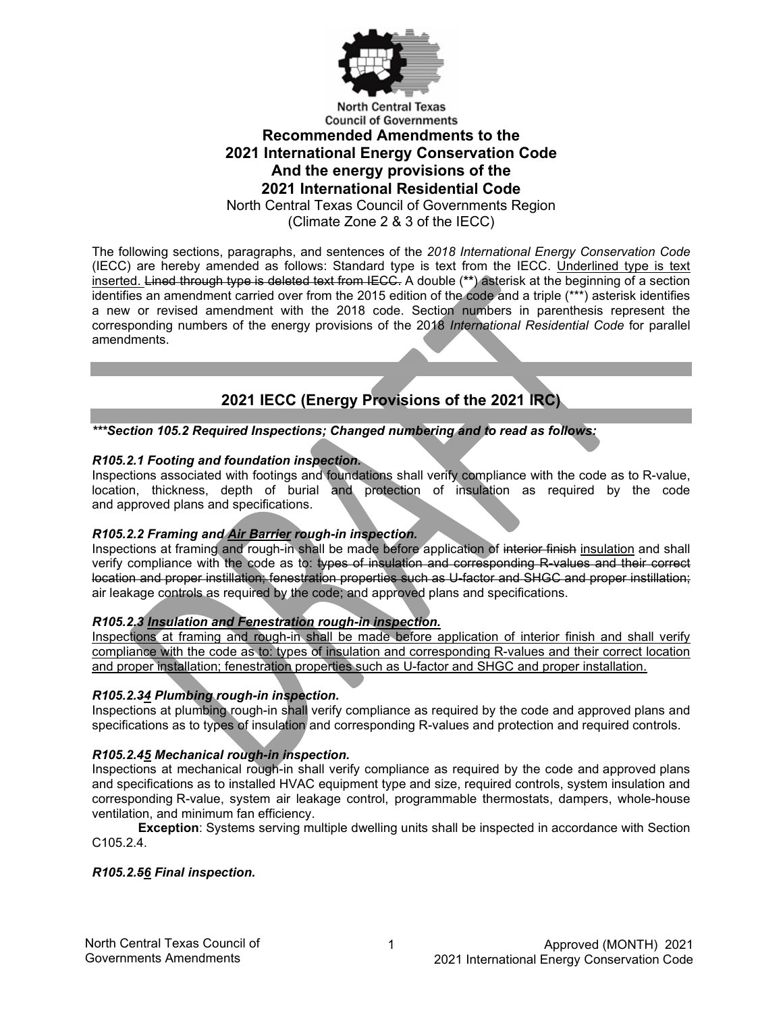

# **Recommended Amendments to the 2021 International Energy Conservation Code And the energy provisions of the 2021 International Residential Code**

North Central Texas Council of Governments Region

(Climate Zone 2 & 3 of the IECC)

The following sections, paragraphs, and sentences of the *2018 International Energy Conservation Code* (IECC) are hereby amended as follows: Standard type is text from the IECC. Underlined type is text inserted. Lined through type is deleted text from IECC. A double (**\*\***) asterisk at the beginning of a section identifies an amendment carried over from the 2015 edition of the code and a triple (\*\*\*) asterisk identifies a new or revised amendment with the 2018 code. Section numbers in parenthesis represent the corresponding numbers of the energy provisions of the 2018 *International Residential Code* for parallel amendments.

## **2021 IECC (Energy Provisions of the 2021 IRC)**

*\*\*\*Section 105.2 Required Inspections; Changed numbering and to read as follows:*

### *R105.2.1 Footing and foundation inspection.*

Inspections associated with footings and foundations shall verify compliance with the code as to R-value, location, thickness, depth of burial and protection of insulation as required by the code and approved plans and specifications.

#### *R105.2.2 Framing and Air Barrier rough-in inspection.*

Inspections at framing and rough-in shall be made before application of interior finish insulation and shall verify compliance with the code as to: types of insulation and corresponding R-values and their correct location and proper instillation; fenestration properties such as U-factor and SHGC and proper instillation; air leakage controls as required by the code; and approved plans and specifications.

#### *R105.2.3 Insulation and Fenestration rough-in inspection.*

Inspections at framing and rough-in shall be made before application of interior finish and shall verify compliance with the code as to: types of insulation and corresponding R-values and their correct location and proper installation; fenestration properties such as U-factor and SHGC and proper installation.

#### *R105.2.34 Plumbing rough-in inspection.*

Inspections at plumbing rough-in shall verify compliance as required by the code and approved plans and specifications as to types of insulation and corresponding R-values and protection and required controls.

#### *R105.2.45 Mechanical rough-in inspection.*

Inspections at mechanical rough-in shall verify compliance as required by the code and approved plans and specifications as to installed HVAC equipment type and size, required controls, system insulation and corresponding R-value, system air leakage control, programmable thermostats, dampers, whole-house ventilation, and minimum fan efficiency.

**Exception**: Systems serving multiple dwelling units shall be inspected in accordance with Section C105.2.4.

#### *R105.2.56 Final inspection.*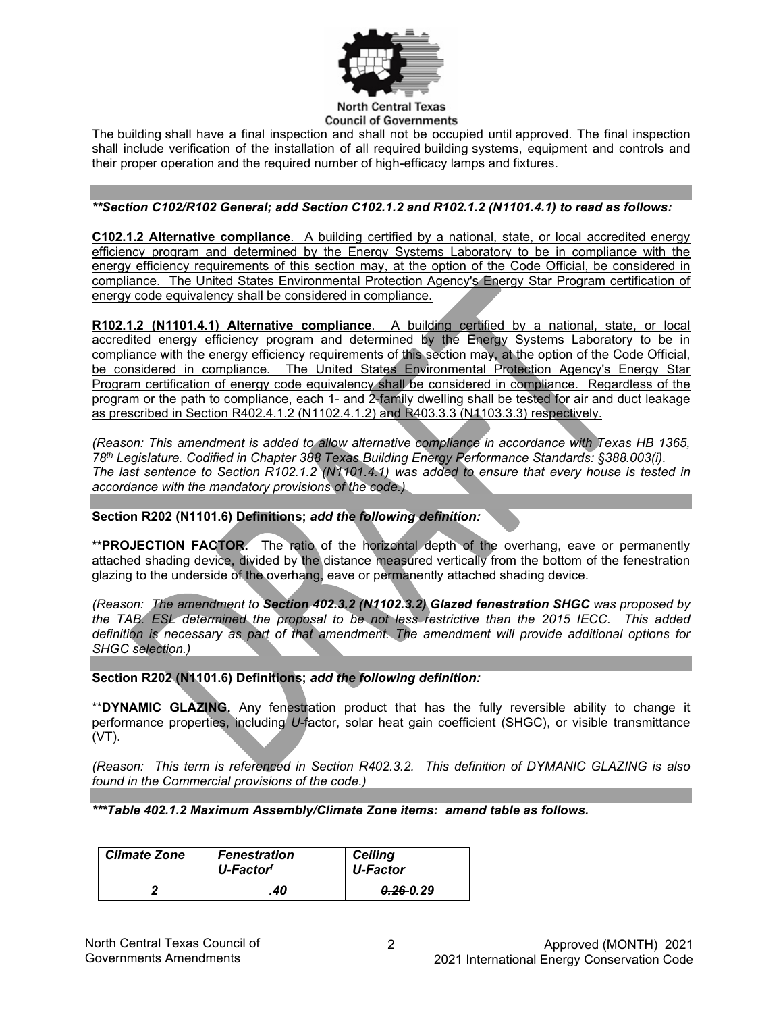

The building shall have a final inspection and shall not be occupied until approved. The final inspection shall include verification of the installation of all required building systems, equipment and controls and their proper operation and the required number of high-efficacy lamps and fixtures.

#### *\*\*Section C102/R102 General; add Section C102.1.2 and R102.1.2 (N1101.4.1) to read as follows:*

**C102.1.2 Alternative compliance**. A building certified by a national, state, or local accredited energy efficiency program and determined by the Energy Systems Laboratory to be in compliance with the energy efficiency requirements of this section may, at the option of the Code Official, be considered in compliance. The United States Environmental Protection Agency's Energy Star Program certification of energy code equivalency shall be considered in compliance.

**R102.1.2 (N1101.4.1) Alternative compliance**. A building certified by a national, state, or local accredited energy efficiency program and determined by the Energy Systems Laboratory to be in compliance with the energy efficiency requirements of this section may, at the option of the Code Official, be considered in compliance. The United States Environmental Protection Agency's Energy Star Program certification of energy code equivalency shall be considered in compliance. Regardless of the program or the path to compliance, each 1- and 2-family dwelling shall be tested for air and duct leakage as prescribed in Section R402.4.1.2 (N1102.4.1.2) and R403.3.3 (N1103.3.3) respectively.

*(Reason: This amendment is added to allow alternative compliance in accordance with Texas HB 1365, 78th Legislature. Codified in Chapter 388 Texas Building Energy Performance Standards: §388.003(i). The last sentence to Section R102.1.2 (N1101.4.1) was added to ensure that every house is tested in accordance with the mandatory provisions of the code.)*

**Section R202 (N1101.6) Definitions;** *add the following definition:*

**\*\*PROJECTION FACTOR.** The ratio of the horizontal depth of the overhang, eave or permanently attached shading device, divided by the distance measured vertically from the bottom of the fenestration glazing to the underside of the overhang, eave or permanently attached shading device.

*(Reason: The amendment to Section 402.3.2 (N1102.3.2) Glazed fenestration SHGC was proposed by the TAB. ESL determined the proposal to be not less restrictive than the 2015 IECC. This added definition is necessary as part of that amendment. The amendment will provide additional options for SHGC selection.)*

**Section R202 (N1101.6) Definitions;** *add the following definition:*

\*\***DYNAMIC GLAZING.** Any fenestration product that has the fully reversible ability to change it performance properties, including *U-*factor, solar heat gain coefficient (SHGC), or visible transmittance (VT).

*(Reason: This term is referenced in Section R402.3.2. This definition of DYMANIC GLAZING is also found in the Commercial provisions of the code.)*

*\*\*\*Table 402.1.2 Maximum Assembly/Climate Zone items: amend table as follows.*

| <b>Climate Zone</b> | <b>Fenestration</b><br>U-Factor <sup>f</sup> | <b>Ceiling</b><br>U-Factor |
|---------------------|----------------------------------------------|----------------------------|
|                     | .40                                          | $0.26 - 0.29$              |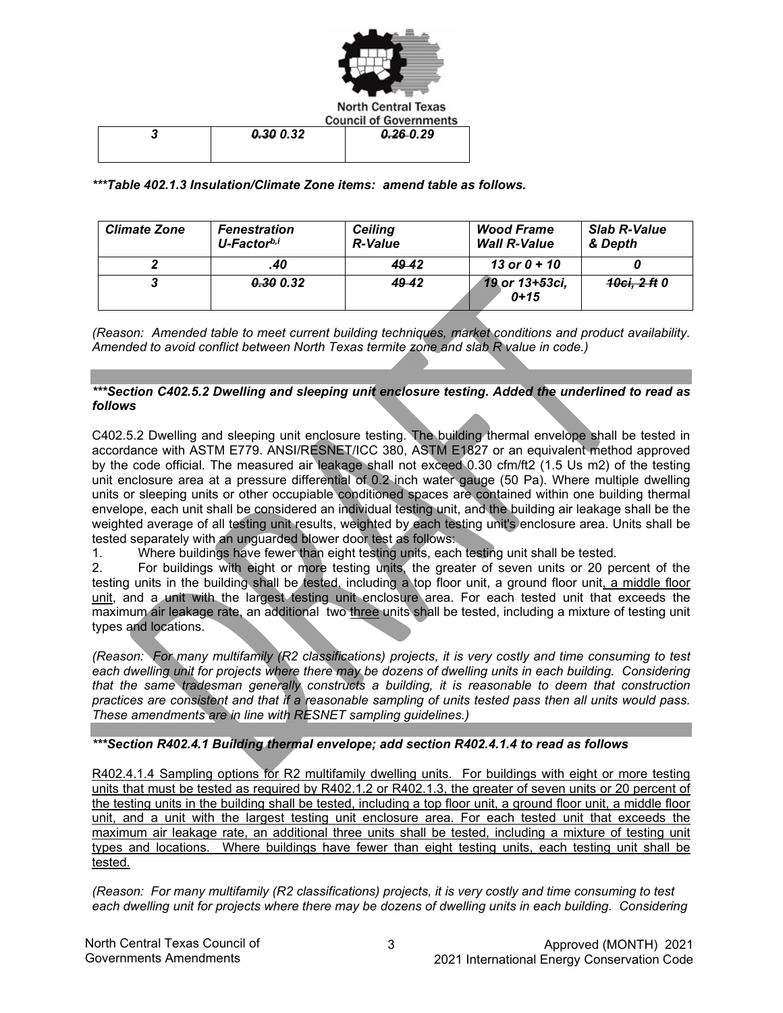

| 0.300.32 | $0.26 - 0.29$ |
|----------|---------------|
|          |               |

*\*\*\*Table 402.1.3 Insulation/Climate Zone items: amend table as follows.*

| <b>Climate Zone</b> | <b>Fenestration</b><br>U-Factorb,i | <b>Ceiling</b><br><b>R-Value</b> | <b>Wood Frame</b><br><b>Wall R-Value</b> | <b>Slab R-Value</b><br>& Depth |
|---------------------|------------------------------------|----------------------------------|------------------------------------------|--------------------------------|
|                     | .40                                | 49.42                            | 13 or $0 + 10$                           |                                |
|                     | 0.30 0.32                          | 49.42                            | 19 or 13+53ci,<br>$0 + 15$               | 10ci, 2 ft 0                   |

*(Reason: Amended table to meet current building techniques, market conditions and product availability. Amended to avoid conflict between North Texas termite zone and slab R value in code.)*

#### *\*\*\*Section C402.5.2 Dwelling and sleeping unit enclosure testing. Added the underlined to read as follows*

C402.5.2 Dwelling and sleeping unit enclosure testing. The building thermal envelope shall be tested in accordance with ASTM E779. ANSI/RESNET/ICC 380, ASTM E1827 or an equivalent method approved by the code official. The measured air leakage shall not exceed 0.30 cfm/ft2 (1.5 Us m2) of the testing unit enclosure area at a pressure differential of 0.2 inch water gauge (50 Pa). Where multiple dwelling units or sleeping units or other occupiable conditioned spaces are contained within one building thermal envelope, each unit shall be considered an individual testing unit, and the building air leakage shall be the weighted average of all testing unit results, weighted by each testing unit's enclosure area. Units shall be tested separately with an unguarded blower door test as follows:

1. Where buildings have fewer than eight testing units, each testing unit shall be tested.

2. For buildings with eight or more testing units, the greater of seven units or 20 percent of the testing units in the building shall be tested, including a top floor unit, a ground floor unit, a middle floor unit, and a unit with the largest testing unit enclosure area. For each tested unit that exceeds the maximum air leakage rate, an additional two three units shall be tested, including a mixture of testing unit types and locations.

*(Reason: For many multifamily (R2 classifications) projects, it is very costly and time consuming to test each dwelling unit for projects where there may be dozens of dwelling units in each building. Considering that the same tradesman generally constructs a building, it is reasonable to deem that construction practices are consistent and that if a reasonable sampling of units tested pass then all units would pass. These amendments are in line with RESNET sampling guidelines.)*

#### *\*\*\*Section R402.4.1 Building thermal envelope; add section R402.4.1.4 to read as follows*

R402.4.1.4 Sampling options for R2 multifamily dwelling units. For buildings with eight or more testing units that must be tested as required by R402.1.2 or R402.1.3, the greater of seven units or 20 percent of the testing units in the building shall be tested, including a top floor unit, a ground floor unit, a middle floor unit, and a unit with the largest testing unit enclosure area. For each tested unit that exceeds the maximum air leakage rate, an additional three units shall be tested, including a mixture of testing unit types and locations. Where buildings have fewer than eight testing units, each testing unit shall be tested.

*(Reason: For many multifamily (R2 classifications) projects, it is very costly and time consuming to test each dwelling unit for projects where there may be dozens of dwelling units in each building. Considering*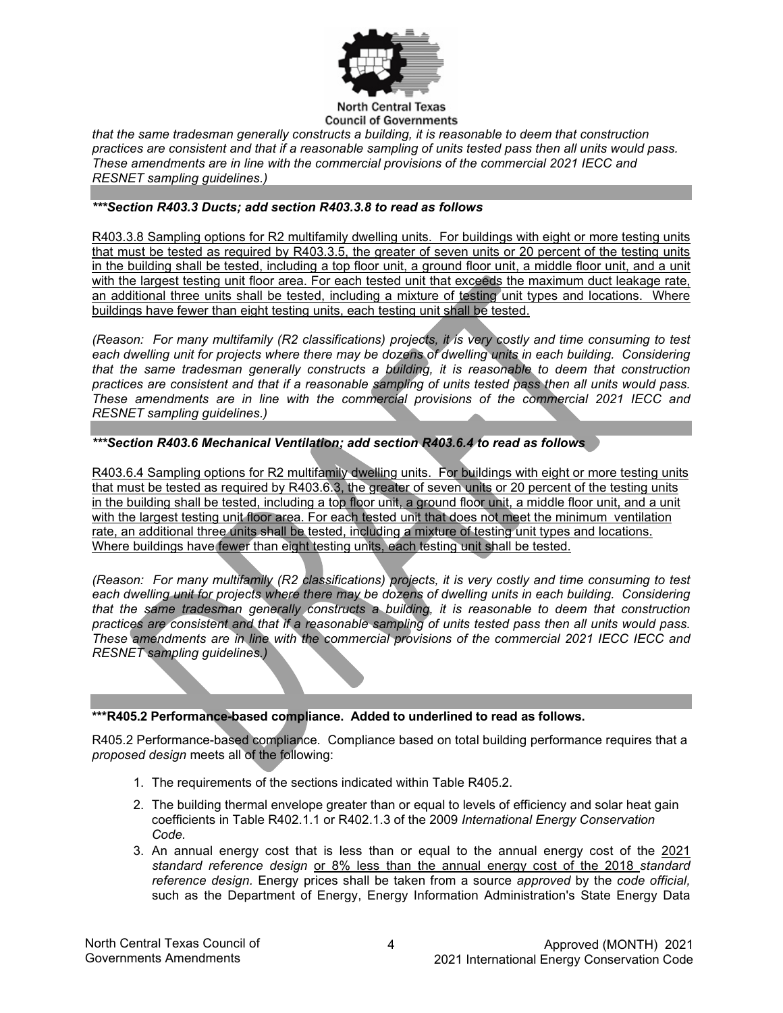

*that the same tradesman generally constructs a building, it is reasonable to deem that construction practices are consistent and that if a reasonable sampling of units tested pass then all units would pass. These amendments are in line with the commercial provisions of the commercial 2021 IECC and RESNET sampling guidelines.)*

#### *\*\*\*Section R403.3 Ducts; add section R403.3.8 to read as follows*

R403.3.8 Sampling options for R2 multifamily dwelling units. For buildings with eight or more testing units that must be tested as required by R403.3.5, the greater of seven units or 20 percent of the testing units in the building shall be tested, including a top floor unit, a ground floor unit, a middle floor unit, and a unit with the largest testing unit floor area. For each tested unit that exceeds the maximum duct leakage rate, an additional three units shall be tested, including a mixture of testing unit types and locations. Where buildings have fewer than eight testing units, each testing unit shall be tested.

*(Reason: For many multifamily (R2 classifications) projects, it is very costly and time consuming to test each dwelling unit for projects where there may be dozens of dwelling units in each building. Considering that the same tradesman generally constructs a building, it is reasonable to deem that construction practices are consistent and that if a reasonable sampling of units tested pass then all units would pass. These amendments are in line with the commercial provisions of the commercial 2021 IECC and RESNET sampling guidelines.)*

#### *\*\*\*Section R403.6 Mechanical Ventilation; add section R403.6.4 to read as follows*

R403.6.4 Sampling options for R2 multifamily dwelling units. For buildings with eight or more testing units that must be tested as required by R403.6.3, the greater of seven units or 20 percent of the testing units in the building shall be tested, including a top floor unit, a ground floor unit, a middle floor unit, and a unit with the largest testing unit floor area. For each tested unit that does not meet the minimum ventilation rate, an additional three units shall be tested, including a mixture of testing unit types and locations. Where buildings have fewer than eight testing units, each testing unit shall be tested.

*(Reason: For many multifamily (R2 classifications) projects, it is very costly and time consuming to test*  each dwelling unit for projects where there may be dozens of dwelling units in each building. Considering *that the same tradesman generally constructs a building, it is reasonable to deem that construction practices are consistent and that if a reasonable sampling of units tested pass then all units would pass. These amendments are in line with the commercial provisions of the commercial 2021 IECC IECC and RESNET sampling guidelines.)*

#### **\*\*\*R405.2 Performance-based compliance. Added to underlined to read as follows.**

R405.2 Performance-based compliance. Compliance based on total building performance requires that a *proposed design* meets all of the following:

- 1. The requirements of the sections indicated within Table R405.2.
- 2. The building thermal envelope greater than or equal to levels of efficiency and solar heat gain coefficients in Table R402.1.1 or R402.1.3 of the 2009 *International Energy Conservation Code.*
- 3. An annual energy cost that is less than or equal to the annual energy cost of the 2021 *standard reference design* or 8% less than the annual energy cost of the 2018 *standard reference design.* Energy prices shall be taken from a source *approved* by the *code official,* such as the Department of Energy, Energy Information Administration's State Energy Data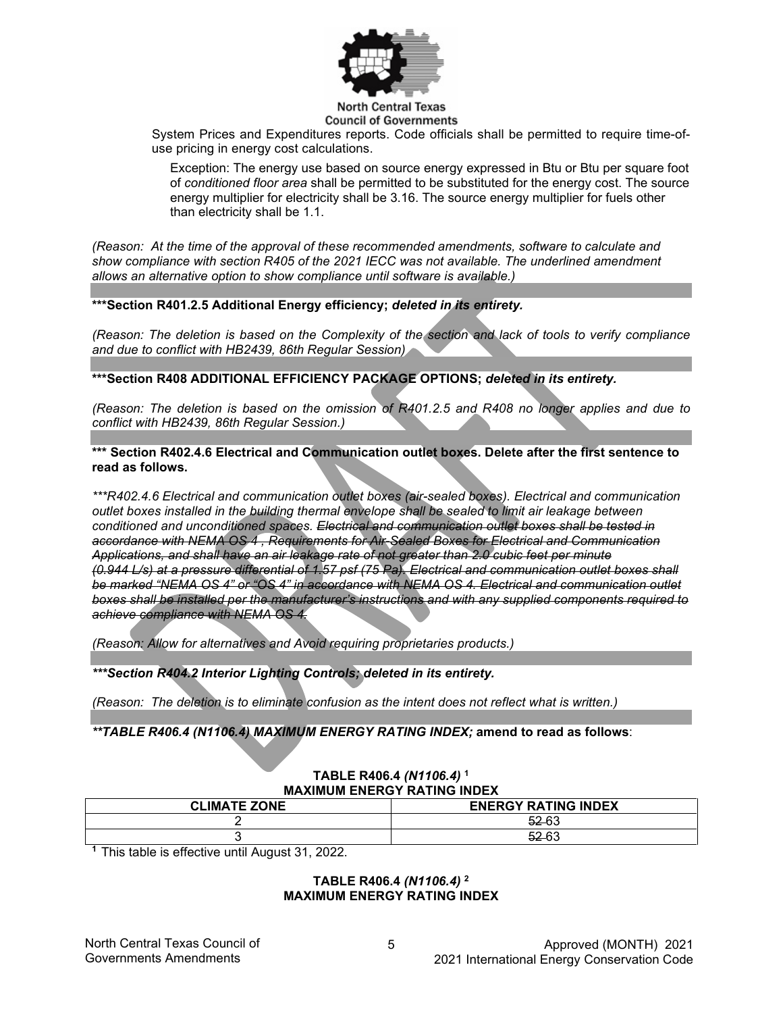

System Prices and Expenditures reports. Code officials shall be permitted to require time-ofuse pricing in energy cost calculations.

Exception: The energy use based on source energy expressed in Btu or Btu per square foot of *conditioned floor area* shall be permitted to be substituted for the energy cost. The source energy multiplier for electricity shall be 3.16. The source energy multiplier for fuels other than electricity shall be 1.1.

*(Reason: At the time of the approval of these recommended amendments, software to calculate and show compliance with section R405 of the 2021 IECC was not available. The underlined amendment allows an alternative option to show compliance until software is available.)*

#### **\*\*\*Section R401.2.5 Additional Energy efficiency;** *deleted in its entirety.*

*(Reason: The deletion is based on the Complexity of the section and lack of tools to verify compliance and due to conflict with HB2439, 86th Regular Session)*

**\*\*\*Section R408 ADDITIONAL EFFICIENCY PACKAGE OPTIONS;** *deleted in its entirety.*

*(Reason: The deletion is based on the omission of R401.2.5 and R408 no longer applies and due to conflict with HB2439, 86th Regular Session.)*

**\*\*\* Section R402.4.6 Electrical and Communication outlet boxes. Delete after the first sentence to read as follows.**

*\*\*\*R402.4.6 Electrical and communication outlet boxes (air-sealed boxes). Electrical and communication outlet boxes installed in the building thermal envelope shall be sealed to limit air leakage between conditioned and unconditioned spaces. Electrical and communication outlet boxes shall be tested in accordance with NEMA OS 4 , Requirements for Air-Sealed Boxes for Electrical and Communication Applications, and shall have an air leakage rate of not greater than 2.0 cubic feet per minute (0.944 L/s) at a pressure differential of 1.57 psf (75 Pa). Electrical and communication outlet boxes shall be marked "NEMA OS 4" or "OS 4" in accordance with NEMA OS 4. Electrical and communication outlet boxes shall be installed per the manufacturer's instructions and with any supplied components required to achieve compliance with NEMA OS 4.*

*(Reason: Allow for alternatives and Avoid requiring proprietaries products.)*

*\*\*\*Section R404.2 Interior Lighting Controls; deleted in its entirety.*

*(Reason: The deletion is to eliminate confusion as the intent does not reflect what is written.)*

*\*\*TABLE R406.4 (N1106.4) MAXIMUM ENERGY RATING INDEX;* **amend to read as follows**:

#### **TABLE R406.4** *(N1106.4)* **<sup>1</sup> MAXIMUM ENERGY RATING INDEX**

| <b>CLIMATE ZONE</b> | <b>ENERGY RATING INDEX</b> |
|---------------------|----------------------------|
|                     | $52-63$                    |
|                     | 52.52<br><del>ບ∠</del> ບບ  |

**<sup>1</sup>**This table is effective until August 31, 2022.

#### **TABLE R406.4** *(N1106.4)* **<sup>2</sup> MAXIMUM ENERGY RATING INDEX**